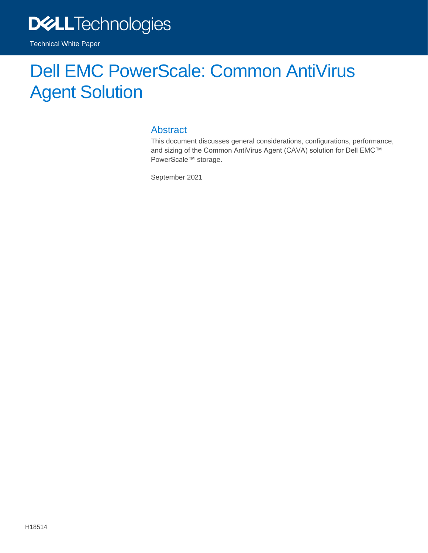

Technical White Paper

# Dell EMC PowerScale: Common AntiVirus Agent Solution

#### Abstract

This document discusses general considerations, configurations, performance, and sizing of the Common AntiVirus Agent (CAVA) solution for Dell EMC™ PowerScale™ storage.

September 2021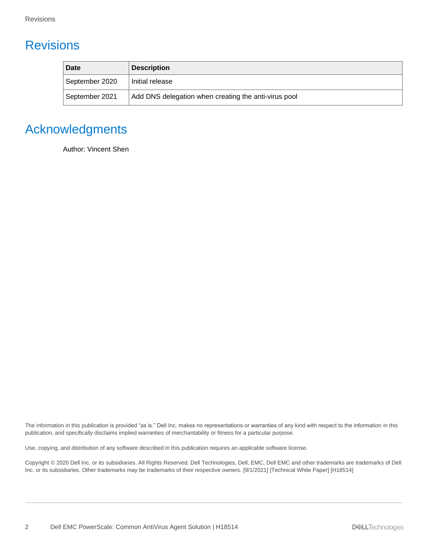# <span id="page-1-0"></span>**Revisions**

| Date           | <b>Description</b>                                   |
|----------------|------------------------------------------------------|
| September 2020 | Initial release                                      |
| September 2021 | Add DNS delegation when creating the anti-virus pool |

# <span id="page-1-1"></span>Acknowledgments

Author: Vincent Shen

The information in this publication is provided "as is." Dell Inc. makes no representations or warranties of any kind with respect to the information in this publication, and specifically disclaims implied warranties of merchantability or fitness for a particular purpose.

Use, copying, and distribution of any software described in this publication requires an applicable software license.

Copyright © 2020 Dell Inc. or its subsidiaries. All Rights Reserved. Dell Technologies, Dell, EMC, Dell EMC and other trademarks are trademarks of Dell Inc. or its subsidiaries. Other trademarks may be trademarks of their respective owners. [9/1/2021] [Technical White Paper] [H18514]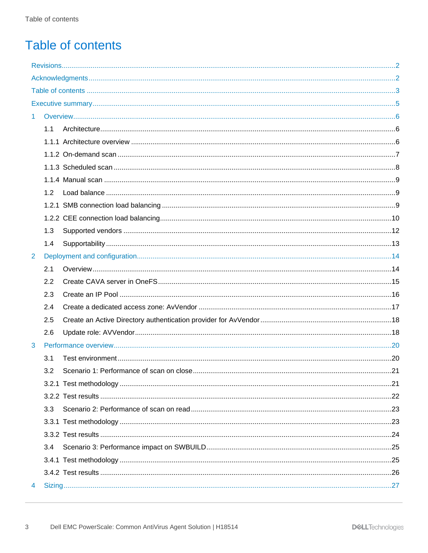# <span id="page-2-0"></span>**Table of contents**

| 1 |     |  |  |  |
|---|-----|--|--|--|
|   | 1.1 |  |  |  |
|   |     |  |  |  |
|   |     |  |  |  |
|   |     |  |  |  |
|   |     |  |  |  |
|   | 1.2 |  |  |  |
|   |     |  |  |  |
|   |     |  |  |  |
|   | 1.3 |  |  |  |
|   | 1.4 |  |  |  |
| 2 |     |  |  |  |
|   | 2.1 |  |  |  |
|   | 2.2 |  |  |  |
|   | 2.3 |  |  |  |
|   | 2.4 |  |  |  |
|   | 2.5 |  |  |  |
|   | 2.6 |  |  |  |
| 3 |     |  |  |  |
|   | 3.1 |  |  |  |
|   | 3.2 |  |  |  |
|   |     |  |  |  |
|   |     |  |  |  |
|   | 3.3 |  |  |  |
|   |     |  |  |  |
|   |     |  |  |  |
|   | 3.4 |  |  |  |
|   |     |  |  |  |
|   |     |  |  |  |
| 4 |     |  |  |  |
|   |     |  |  |  |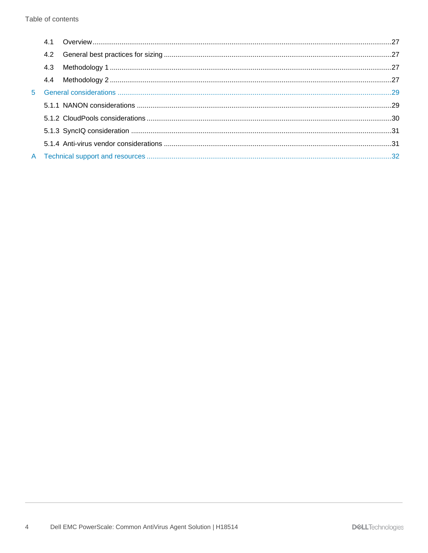| 4.2 |  |
|-----|--|
| 4.3 |  |
|     |  |
|     |  |
|     |  |
|     |  |
|     |  |
|     |  |
|     |  |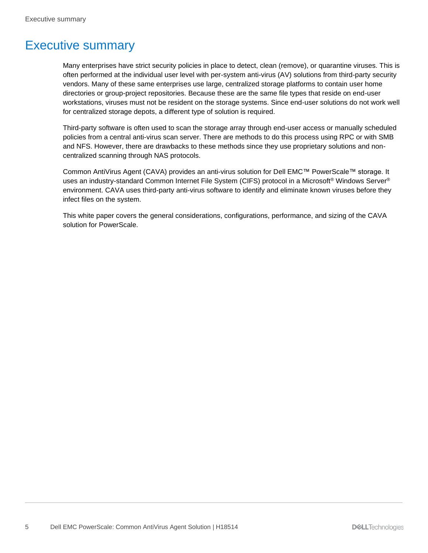# <span id="page-4-0"></span>Executive summary

Many enterprises have strict security policies in place to detect, clean (remove), or quarantine viruses. This is often performed at the individual user level with per-system anti-virus (AV) solutions from third-party security vendors. Many of these same enterprises use large, centralized storage platforms to contain user home directories or group-project repositories. Because these are the same file types that reside on end-user workstations, viruses must not be resident on the storage systems. Since end-user solutions do not work well for centralized storage depots, a different type of solution is required.

Third-party software is often used to scan the storage array through end-user access or manually scheduled policies from a central anti-virus scan server. There are methods to do this process using RPC or with SMB and NFS. However, there are drawbacks to these methods since they use proprietary solutions and noncentralized scanning through NAS protocols.

Common AntiVirus Agent (CAVA) provides an anti-virus solution for Dell EMC™ PowerScale™ storage. It uses an industry-standard Common Internet File System (CIFS) protocol in a Microsoft® Windows Server® environment. CAVA uses third-party anti-virus software to identify and eliminate known viruses before they infect files on the system.

This white paper covers the general considerations, configurations, performance, and sizing of the CAVA solution for PowerScale.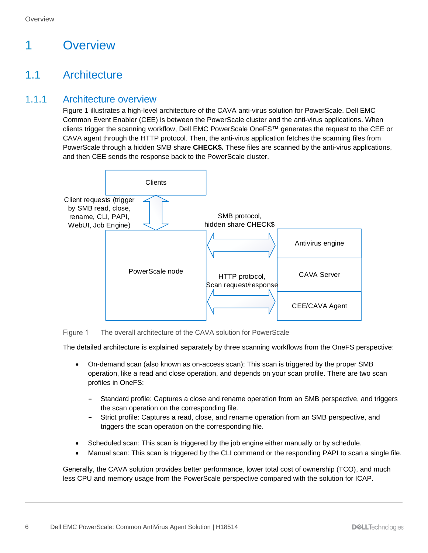# <span id="page-5-0"></span>1 Overview

# <span id="page-5-1"></span>1.1 Architecture

#### <span id="page-5-2"></span>1.1.1 Architecture overview

[Figure 1](#page-5-3) illustrates a high-level architecture of the CAVA anti-virus solution for PowerScale. Dell EMC Common Event Enabler (CEE) is between the PowerScale cluster and the anti-virus applications. When clients trigger the scanning workflow, Dell EMC PowerScale OneFS™ generates the request to the CEE or CAVA agent through the HTTP protocol. Then, the anti-virus application fetches the scanning files from PowerScale through a hidden SMB share **CHECK\$.** These files are scanned by the anti-virus applications, and then CEE sends the response back to the PowerScale cluster.



<span id="page-5-3"></span>The overall architecture of the CAVA solution for PowerScale Figure 1

The detailed architecture is explained separately by three scanning workflows from the OneFS perspective:

- On-demand scan (also known as on-access scan): This scan is triggered by the proper SMB operation, like a read and close operation, and depends on your scan profile. There are two scan profiles in OneFS:
	- **-** Standard profile: Captures a close and rename operation from an SMB perspective, and triggers the scan operation on the corresponding file.
	- **-** Strict profile: Captures a read, close, and rename operation from an SMB perspective, and triggers the scan operation on the corresponding file.
- Scheduled scan: This scan is triggered by the job engine either manually or by schedule.
- Manual scan: This scan is triggered by the CLI command or the responding PAPI to scan a single file.

Generally, the CAVA solution provides better performance, lower total cost of ownership (TCO), and much less CPU and memory usage from the PowerScale perspective compared with the solution for ICAP.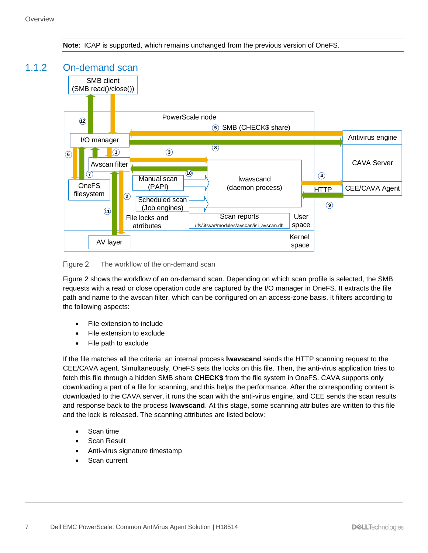

<span id="page-6-0"></span>

<span id="page-6-1"></span>The workflow of the on-demand scan Figure 2

[Figure 2](#page-6-1) shows the workflow of an on-demand scan. Depending on which scan profile is selected, the SMB requests with a read or close operation code are captured by the I/O manager in OneFS. It extracts the file path and name to the avscan filter, which can be configured on an access-zone basis. It filters according to the following aspects:

- File extension to include
- File extension to exclude
- File path to exclude

If the file matches all the criteria, an internal process **lwavscand** sends the HTTP scanning request to the CEE/CAVA agent. Simultaneously, OneFS sets the locks on this file. Then, the anti-virus application tries to fetch this file through a hidden SMB share **CHECK\$** from the file system in OneFS. CAVA supports only downloading a part of a file for scanning, and this helps the performance. After the corresponding content is downloaded to the CAVA server, it runs the scan with the anti-virus engine, and CEE sends the scan results and response back to the process **lwavscand**. At this stage, some scanning attributes are written to this file and the lock is released. The scanning attributes are listed below:

- Scan time
- Scan Result
- Anti-virus signature timestamp
- Scan current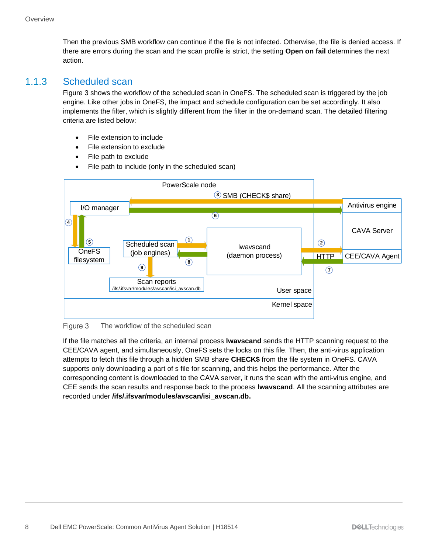Then the previous SMB workflow can continue if the file is not infected. Otherwise, the file is denied access. If there are errors during the scan and the scan profile is strict, the setting **Open on fail** determines the next action.

#### <span id="page-7-0"></span>1.1.3 Scheduled scan

[Figure 3](#page-7-1) shows the workflow of the scheduled scan in OneFS. The scheduled scan is triggered by the job engine. Like other jobs in OneFS, the impact and schedule configuration can be set accordingly. It also implements the filter, which is slightly different from the filter in the on-demand scan. The detailed filtering criteria are listed below:

- File extension to include
- File extension to exclude
- File path to exclude
- File path to include (only in the scheduled scan)



<span id="page-7-1"></span>Figure 3 The workflow of the scheduled scan

If the file matches all the criteria, an internal process **lwavscand** sends the HTTP scanning request to the CEE/CAVA agent, and simultaneously, OneFS sets the locks on this file. Then, the anti-virus application attempts to fetch this file through a hidden SMB share **CHECK\$** from the file system in OneFS. CAVA supports only downloading a part of s file for scanning, and this helps the performance. After the corresponding content is downloaded to the CAVA server, it runs the scan with the anti-virus engine, and CEE sends the scan results and response back to the process **lwavscand**. All the scanning attributes are recorded under **/ifs/.ifsvar/modules/avscan/isi\_avscan.db.**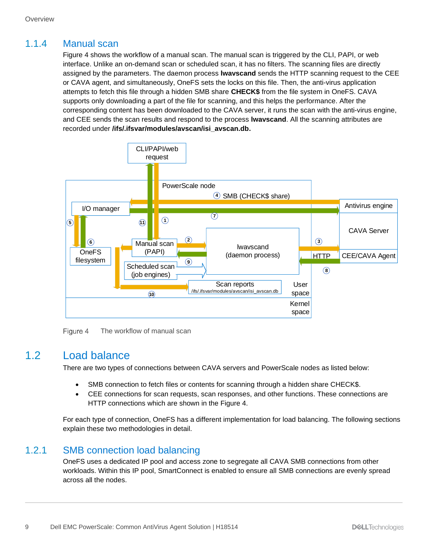#### <span id="page-8-0"></span>1.1.4 Manual scan

[Figure 4](#page-8-3) shows the workflow of a manual scan. The manual scan is triggered by the CLI, PAPI, or web interface. Unlike an on-demand scan or scheduled scan, it has no filters. The scanning files are directly assigned by the parameters. The daemon process **lwavscand** sends the HTTP scanning request to the CEE or CAVA agent, and simultaneously, OneFS sets the locks on this file. Then, the anti-virus application attempts to fetch this file through a hidden SMB share **CHECK\$** from the file system in OneFS. CAVA supports only downloading a part of the file for scanning, and this helps the performance. After the corresponding content has been downloaded to the CAVA server, it runs the scan with the anti-virus engine, and CEE sends the scan results and respond to the process **lwavscand**. All the scanning attributes are recorded under **/ifs/.ifsvar/modules/avscan/isi\_avscan.db.**



Figure 4 The workflow of manual scan

#### <span id="page-8-3"></span><span id="page-8-1"></span>1.2 Load balance

There are two types of connections between CAVA servers and PowerScale nodes as listed below:

- SMB connection to fetch files or contents for scanning through a hidden share CHECK\$.
- CEE connections for scan requests, scan responses, and other functions. These connections are HTTP connections which are shown in the [Figure 4.](#page-8-3)

For each type of connection, OneFS has a different implementation for load balancing. The following sections explain these two methodologies in detail.

#### <span id="page-8-2"></span>1.2.1 SMB connection load balancing

OneFS uses a dedicated IP pool and access zone to segregate all CAVA SMB connections from other workloads. Within this IP pool, SmartConnect is enabled to ensure all SMB connections are evenly spread across all the nodes.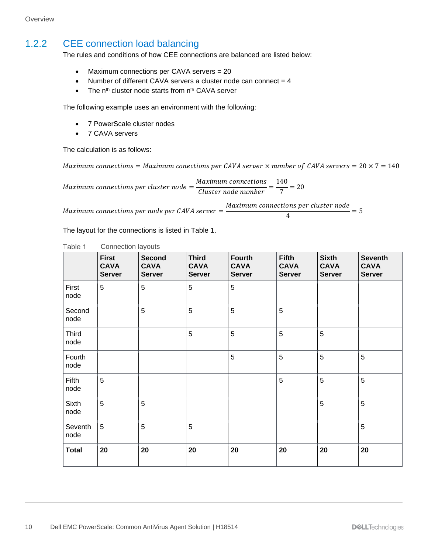**Overview** 

#### <span id="page-9-0"></span>1.2.2 CEE connection load balancing

The rules and conditions of how CEE connections are balanced are listed below:

- Maximum connections per CAVA servers = 20
- Number of different CAVA servers a cluster node can connect  $= 4$
- The  $n<sup>th</sup>$  cluster node starts from  $n<sup>th</sup>$  CAVA server

The following example uses an environment with the following:

- 7 PowerScale cluster nodes
- 7 CAVA servers

The calculation is as follows:

Maximum connections = Maximum conections per CAVA server  $\times$  number of CAVA servers = 20  $\times$  7 = 140

 $Maximum\ connections\ per\ cluster\ node = \frac{Maximum\ connections}{Cluster\ node\ number} = \frac{140}{7}$  $\frac{1}{7}$  = 20

Maximum connections per node per CAVA server  $=\dfrac{Maximum\ connections}{4}$  per cluster node  $\frac{1}{4}$  = 5

The layout for the connections is listed in [Table 1.](#page-9-1)

<span id="page-9-1"></span>

|                      | <b>First</b><br><b>CAVA</b><br><b>Server</b> | <b>Second</b><br><b>CAVA</b><br><b>Server</b> | <b>Third</b><br><b>CAVA</b><br><b>Server</b> | <b>Fourth</b><br><b>CAVA</b><br><b>Server</b> | <b>Fifth</b><br><b>CAVA</b><br><b>Server</b> | <b>Sixth</b><br><b>CAVA</b><br><b>Server</b> | <b>Seventh</b><br><b>CAVA</b><br><b>Server</b> |
|----------------------|----------------------------------------------|-----------------------------------------------|----------------------------------------------|-----------------------------------------------|----------------------------------------------|----------------------------------------------|------------------------------------------------|
| First<br>node        | 5                                            | 5                                             | 5                                            | 5                                             |                                              |                                              |                                                |
| Second<br>node       |                                              | 5                                             | 5                                            | 5                                             | 5                                            |                                              |                                                |
| <b>Third</b><br>node |                                              |                                               | 5                                            | 5                                             | 5                                            | 5                                            |                                                |
| Fourth<br>node       |                                              |                                               |                                              | 5                                             | 5                                            | 5                                            | 5                                              |
| Fifth<br>node        | 5                                            |                                               |                                              |                                               | $\overline{5}$                               | 5                                            | 5                                              |
| <b>Sixth</b><br>node | 5                                            | 5                                             |                                              |                                               |                                              | 5                                            | 5                                              |
| Seventh<br>node      | 5                                            | 5                                             | 5                                            |                                               |                                              |                                              | $\overline{5}$                                 |
| <b>Total</b>         | 20                                           | 20                                            | 20                                           | 20                                            | 20                                           | 20                                           | 20                                             |

| Table 1<br><b>Connection layouts</b> |
|--------------------------------------|
|--------------------------------------|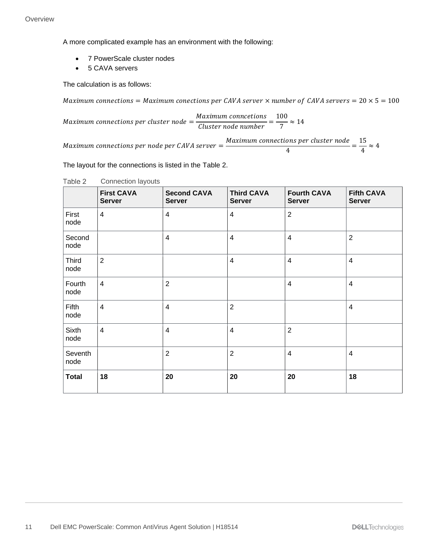A more complicated example has an environment with the following:

- 7 PowerScale cluster nodes
- 5 CAVA servers

The calculation is as follows:

Maximum connections = Maximum conections per CAVA server  $\times$  number of CAVA servers = 20  $\times$  5 = 100

 $Maximum\ connections\ per\ cluster\ node = \frac{Maximum\ connections}{Cluster\ node\ number} = \frac{100}{7}$  $\frac{1}{7} \approx 14$ 

Maximum connections per node per CAVA server  $=\dfrac{Maximum\ connections}{A}$  per cluster node  $\frac{ons\ per\ cluster\ node}{4} = \frac{15}{4}$  $\frac{1}{4} \approx 4$ 

The layout for the connections is listed in the [Table 2.](#page-10-0)

|                 | <b>First CAVA</b><br><b>Server</b> | <b>Second CAVA</b><br><b>Server</b> | <b>Third CAVA</b><br><b>Server</b> | <b>Fourth CAVA</b><br><b>Server</b> | <b>Fifth CAVA</b><br><b>Server</b> |
|-----------------|------------------------------------|-------------------------------------|------------------------------------|-------------------------------------|------------------------------------|
| First<br>node   | $\overline{4}$                     | 4                                   | $\overline{4}$                     | $\overline{2}$                      |                                    |
| Second<br>node  |                                    | $\overline{4}$                      | $\overline{4}$                     | $\overline{4}$                      | $\overline{2}$                     |
| Third<br>node   | $\overline{2}$                     |                                     | $\overline{\mathbf{4}}$            | $\overline{4}$                      | $\overline{\mathbf{4}}$            |
| Fourth<br>node  | $\overline{4}$                     | $\overline{2}$                      |                                    | $\overline{4}$                      | $\overline{\mathbf{4}}$            |
| Fifth<br>node   | $\overline{4}$                     | 4                                   | $\overline{2}$                     |                                     | $\overline{\mathbf{4}}$            |
| Sixth<br>node   | $\overline{4}$                     | $\overline{4}$                      | $\overline{4}$                     | $\overline{2}$                      |                                    |
| Seventh<br>node |                                    | $\overline{2}$                      | $\overline{2}$                     | 4                                   | $\overline{\mathbf{4}}$            |
| <b>Total</b>    | 18                                 | 20                                  | 20                                 | 20                                  | 18                                 |

<span id="page-10-0"></span>Table 2 Connection layouts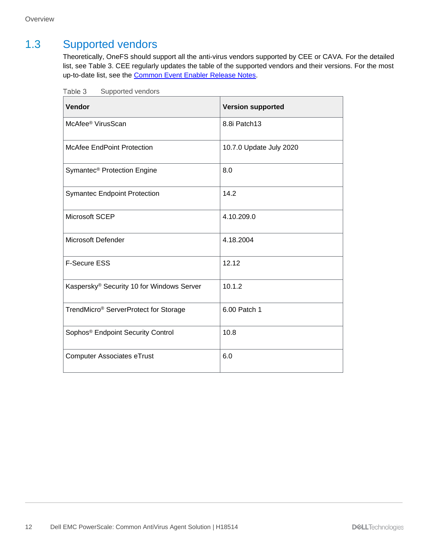### <span id="page-11-0"></span>1.3 Supported vendors

Theoretically, OneFS should support all the anti-virus vendors supported by CEE or CAVA. For the detailed list, see [Table 3.](#page-11-1) CEE regularly updates the table of the supported vendors and their versions. For the most up-to-date list, see the [Common Event Enabler Release Notes.](https://www.dell.com/support/home/en-us/product-support/product/common-event-enabler/docs)

| Vendor                                        | <b>Version supported</b> |
|-----------------------------------------------|--------------------------|
| McAfee <sup>®</sup> VirusScan                 | 8.8i Patch13             |
| <b>McAfee EndPoint Protection</b>             | 10.7.0 Update July 2020  |
| Symantec <sup>®</sup> Protection Engine       | 8.0                      |
| <b>Symantec Endpoint Protection</b>           | 14.2                     |
| Microsoft SCEP                                | 4.10.209.0               |
| <b>Microsoft Defender</b>                     | 4.18.2004                |
| <b>F-Secure ESS</b>                           | 12.12                    |
| Kaspersky® Security 10 for Windows Server     | 10.1.2                   |
| TrendMicro® ServerProtect for Storage         | 6.00 Patch 1             |
| Sophos <sup>®</sup> Endpoint Security Control | 10.8                     |
| <b>Computer Associates eTrust</b>             | 6.0                      |

<span id="page-11-1"></span>Table 3 Supported vendors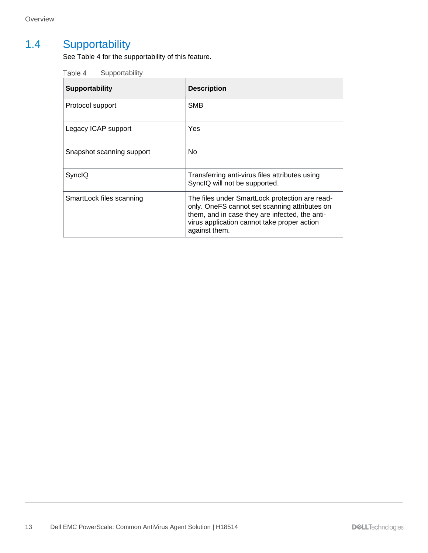# <span id="page-12-1"></span><span id="page-12-0"></span>1.4 Supportability

See [Table 4](#page-12-1) for the supportability of this feature.

| Table 4 | Supportability |
|---------|----------------|
|---------|----------------|

| <b>Supportability</b>     | <b>Description</b>                                                                                                                                                                                                |
|---------------------------|-------------------------------------------------------------------------------------------------------------------------------------------------------------------------------------------------------------------|
| Protocol support          | <b>SMB</b>                                                                                                                                                                                                        |
| Legacy ICAP support       | Yes                                                                                                                                                                                                               |
| Snapshot scanning support | No.                                                                                                                                                                                                               |
| SyncIQ                    | Transferring anti-virus files attributes using<br>SynclQ will not be supported.                                                                                                                                   |
| SmartLock files scanning  | The files under SmartLock protection are read-<br>only. OneFS cannot set scanning attributes on<br>them, and in case they are infected, the anti-<br>virus application cannot take proper action<br>against them. |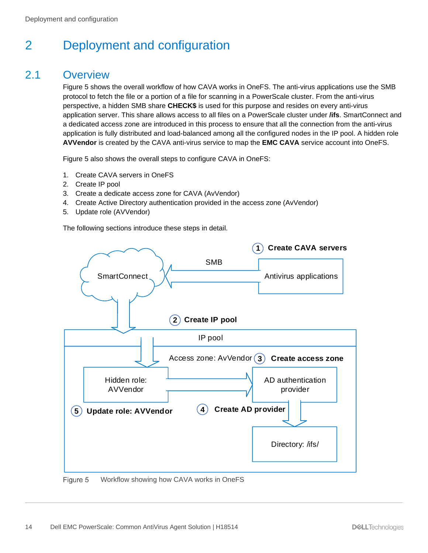# <span id="page-13-0"></span>2 Deployment and configuration

### <span id="page-13-1"></span>2.1 Overview

[Figure 5](#page-13-2) shows the overall workflow of how CAVA works in OneFS. The anti-virus applications use the SMB protocol to fetch the file or a portion of a file for scanning in a PowerScale cluster. From the anti-virus perspective, a hidden SMB share **CHECK\$** is used for this purpose and resides on every anti-virus application server. This share allows access to all files on a PowerScale cluster under **/ifs**. SmartConnect and a dedicated access zone are introduced in this process to ensure that all the connection from the anti-virus application is fully distributed and load-balanced among all the configured nodes in the IP pool. A hidden role **AVVendor** is created by the CAVA anti-virus service to map the **EMC CAVA** service account into OneFS.

[Figure 5](#page-13-2) also shows the overall steps to configure CAVA in OneFS:

- 1. Create CAVA servers in OneFS
- 2. Create IP pool
- 3. Create a dedicate access zone for CAVA (AvVendor)
- 4. Create Active Directory authentication provided in the access zone (AvVendor)
- 5. Update role (AVVendor)

The following sections introduce these steps in detail.



<span id="page-13-2"></span>Figure 5 Workflow showing how CAVA works in OneFS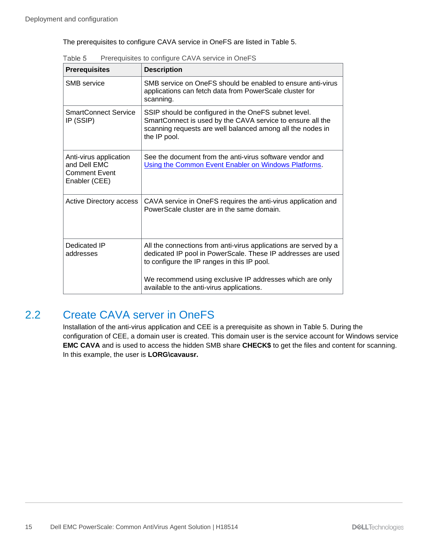The prerequisites to configure CAVA service in OneFS are listed in [Table 5.](#page-14-1)

| <b>Prerequisites</b>                                                            | <b>Description</b>                                                                                                                                                                               |  |  |
|---------------------------------------------------------------------------------|--------------------------------------------------------------------------------------------------------------------------------------------------------------------------------------------------|--|--|
| SMB service                                                                     | SMB service on OneFS should be enabled to ensure anti-virus<br>applications can fetch data from PowerScale cluster for<br>scanning.                                                              |  |  |
| <b>SmartConnect Service</b><br>IP (SSIP)                                        | SSIP should be configured in the OneFS subnet level.<br>SmartConnect is used by the CAVA service to ensure all the<br>scanning requests are well balanced among all the nodes in<br>the IP pool. |  |  |
| Anti-virus application<br>and Dell EMC<br><b>Comment Event</b><br>Enabler (CEE) | See the document from the anti-virus software vendor and<br>Using the Common Event Enabler on Windows Platforms.                                                                                 |  |  |
| Active Directory access                                                         | CAVA service in OneFS requires the anti-virus application and<br>PowerScale cluster are in the same domain.                                                                                      |  |  |
| Dedicated IP<br>addresses                                                       | All the connections from anti-virus applications are served by a<br>dedicated IP pool in PowerScale. These IP addresses are used<br>to configure the IP ranges in this IP pool.                  |  |  |
|                                                                                 | We recommend using exclusive IP addresses which are only<br>available to the anti-virus applications.                                                                                            |  |  |

<span id="page-14-1"></span>Table 5 Prerequisites to configure CAVA service in OneFS

### <span id="page-14-0"></span>2.2 Create CAVA server in OneFS

Installation of the anti-virus application and CEE is a prerequisite as shown in [Table 5.](#page-14-1) During the configuration of CEE, a domain user is created. This domain user is the service account for Windows service **EMC CAVA** and is used to access the hidden SMB share **CHECK\$** to get the files and content for scanning. In this example, the user is **LORG\cavausr.**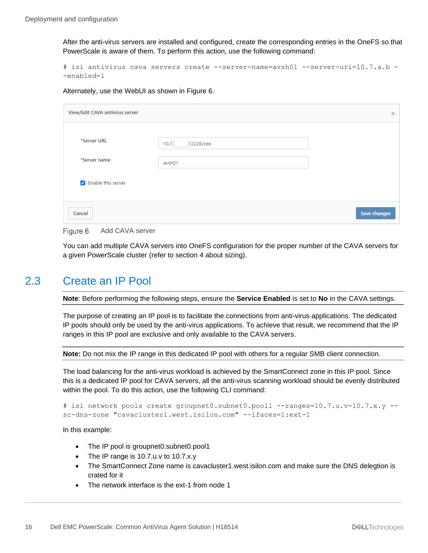After the anti-virus servers are installed and configured, create the corresponding entries in the OneFS so that PowerScale is aware of them. To perform this action, use the following command:

```
# isi antivirus cava servers create --server-name=avsh01 --server-uri=10.7.a.b -
-enabled=1
```
Alternately, use the WebUI as shown in [Figure 6.](#page-15-1)

| View/Edit CAVA antivirus server |                    | $\times$     |
|---------------------------------|--------------------|--------------|
| *Server URL                     | 10.7.<br>12228/cee |              |
| *Server name                    | avsh01             |              |
| Related this server             |                    |              |
| Cancel                          |                    | Save changes |

<span id="page-15-1"></span>

You can add multiple CAVA servers into OneFS configuration for the proper number of the CAVA servers for a given PowerScale cluster (refer to section [4](#page-26-0) about sizing).

### <span id="page-15-0"></span>2.3 Create an IP Pool

**Note**: Before performing the following steps, ensure the **Service Enabled** is set to **No** in the CAVA settings.

The purpose of creating an IP pool is to facilitate the connections from anti-virus applications. The dedicated IP pools should only be used by the anti-virus applications. To achieve that result, we recommend that the IP ranges in this IP pool are exclusive and only available to the CAVA servers.

**Note:** Do not mix the IP range in this dedicated IP pool with others for a regular SMB client connection.

The load balancing for the anti-virus workload is achieved by the SmartConnect zone in this IP pool. Since this is a dedicated IP pool for CAVA servers, all the anti-virus scanning workload should be evenly distributed within the pool. To do this action, use the following CLI command:

```
# isi network pools create groupnet0.subnet0.pool1 --ranges=10.7.u.v-10.7.x.y --
sc-dns-zone "cavacluster1.west.isilon.com" --ifaces=1:ext-1
```
In this example:

- The IP pool is groupnet0.subnet0.pool1
- The IP range is 10.7.u.v to 10.7.x.y
- The SmartConnect Zone name is cavacluster1.west.isilon.com and make sure the DNS delegtion is crated for it
- The network interface is the ext-1 from node 1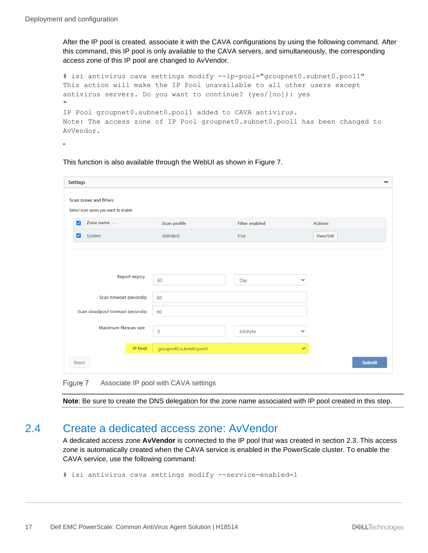After the IP pool is created, associate it with the CAVA configurations by using the following command. After this command, this IP pool is only available to the CAVA servers, and simultaneously, the corresponding access zone of this IP pool are changed to AvVendor.

# isi antivirus cava settings modify --ip-pool="groupnet0.subnet0.pool1" This action will make the IP Pool unavailable to all other users except antivirus servers. Do you want to continue? (yes/[no]): yes " IP Pool groupnet0.subnet0.pool1 added to CAVA antivirus. Note: The access zone of IP Pool groupnet0.subnet0.pool1 has been changed to AvVendor.

"

This function is also available through the WebUI as shown in [Figure 7.](#page-16-1)

| <b>Settings</b>                                                |                                      |                          |                |  |  |
|----------------------------------------------------------------|--------------------------------------|--------------------------|----------------|--|--|
| Scan zones and filters<br>Select scan zones you want to enable |                                      |                          |                |  |  |
| Zone name ==<br>$\blacktriangleright$                          | Scan profile                         | <b>Filter enabled</b>    | <b>Actions</b> |  |  |
| System<br>ø                                                    | standard                             | true                     | View/Edit      |  |  |
| <b>Report expiry</b><br>Scan timeout (seconds)                 | 60<br>60                             | $\checkmark$<br>Day      |                |  |  |
| Scan cloudpool timeout (seconds)                               | 60                                   |                          |                |  |  |
| Maximum filescan size                                          | $\circ$                              | Kilobyte<br>$\checkmark$ |                |  |  |
| <b>IP Pool</b>                                                 | groupnet0.subnet0.pool1              | $\checkmark$             |                |  |  |
| Reset                                                          |                                      |                          | <b>Submit</b>  |  |  |
| Figure 7                                                       | Associate IP pool with CAVA settings |                          |                |  |  |

<span id="page-16-1"></span>**Note**: Be sure to create the DNS delegation for the zone name associated with IP pool created in this step.

#### <span id="page-16-0"></span>2.4 Create a dedicated access zone: AvVendor

A dedicated access zone **AvVendor** is connected to the IP pool that was created in section [2.3.](#page-15-0) This access zone is automatically created when the CAVA service is enabled in the PowerScale cluster. To enable the CAVA service, use the following command:

```
# isi antivirus cava settings modify --service-enabled=1
```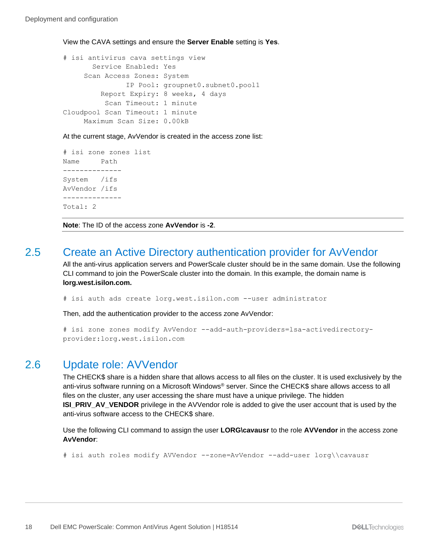View the CAVA settings and ensure the **Server Enable** setting is **Yes**.

```
# isi antivirus cava settings view
        Service Enabled: Yes
      Scan Access Zones: System
                IP Pool: groupnet0.subnet0.pool1
          Report Expiry: 8 weeks, 4 days
           Scan Timeout: 1 minute
Cloudpool Scan Timeout: 1 minute
     Maximum Scan Size: 0.00kB
```
At the current stage, AvVendor is created in the access zone list:

```
# isi zone zones list
Name Path
--------------
System /ifs
AvVendor /ifs
--------------
Total: 2
```
**Note**: The ID of the access zone **AvVendor** is **-2**.

#### <span id="page-17-0"></span>2.5 Create an Active Directory authentication provider for AvVendor

All the anti-virus application servers and PowerScale cluster should be in the same domain. Use the following CLI command to join the PowerScale cluster into the domain. In this example, the domain name is **lorg.west.isilon.com.**

# isi auth ads create lorg.west.isilon.com --user administrator

Then, add the authentication provider to the access zone AvVendor:

```
# isi zone zones modify AvVendor --add-auth-providers=lsa-activedirectory-
provider:lorg.west.isilon.com
```
#### <span id="page-17-1"></span>2.6 Update role: AVVendor

The CHECK\$ share is a hidden share that allows access to all files on the cluster. It is used exclusively by the anti-virus software running on a Microsoft Windows® server. Since the CHECK\$ share allows access to all files on the cluster, any user accessing the share must have a unique privilege. The hidden **ISI\_PRIV\_AV\_VENDOR** privilege in the AVVendor role is added to give the user account that is used by the anti-virus software access to the CHECK\$ share.

Use the following CLI command to assign the user **LORG\cavausr** to the role **AVVendor** in the access zone **AvVendor**:

# isi auth roles modify AVVendor --zone=AvVendor --add-user lorg\\cavausr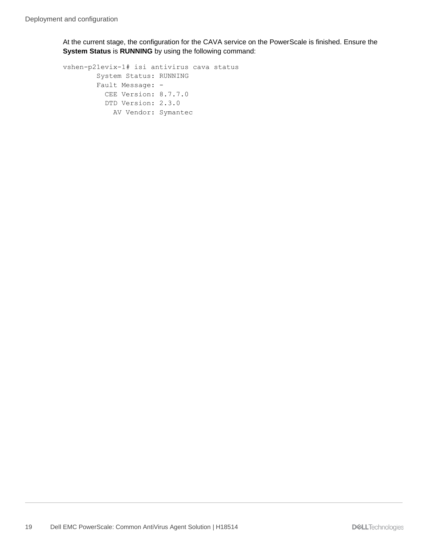At the current stage, the configuration for the CAVA service on the PowerScale is finished. Ensure the **System Status** is **RUNNING** by using the following command:

```
vshen-p21evix-1# isi antivirus cava status
         System Status: RUNNING
         Fault Message: -
          CEE Version: 8.7.7.0
           DTD Version: 2.3.0
            AV Vendor: Symantec
```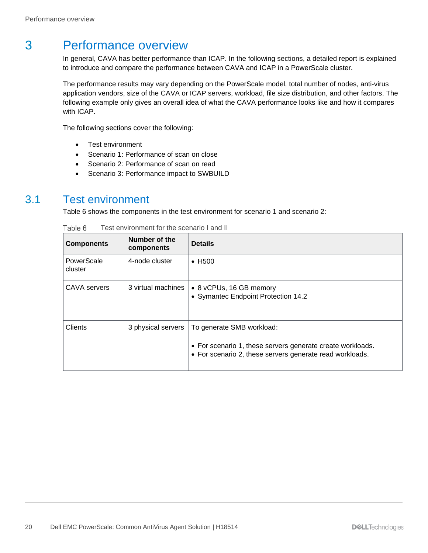# <span id="page-19-0"></span>3 Performance overview

In general, CAVA has better performance than ICAP. In the following sections, a detailed report is explained to introduce and compare the performance between CAVA and ICAP in a PowerScale cluster.

The performance results may vary depending on the PowerScale model, total number of nodes, anti-virus application vendors, size of the CAVA or ICAP servers, workload, file size distribution, and other factors. The following example only gives an overall idea of what the CAVA performance looks like and how it compares with ICAP.

The following sections cover the following:

- Test environment
- Scenario 1: Performance of scan on close
- Scenario 2: Performance of scan on read
- Scenario 3: Performance impact to SWBUILD

#### <span id="page-19-2"></span><span id="page-19-1"></span>3.1 Test environment

[Table 6](#page-19-2) shows the components in the test environment for scenario 1 and scenario 2:

| <b>Components</b>     | Number of the<br>components | <b>Details</b>                                                                                                                                      |
|-----------------------|-----------------------------|-----------------------------------------------------------------------------------------------------------------------------------------------------|
| PowerScale<br>cluster | 4-node cluster              | $\bullet$ H <sub>500</sub>                                                                                                                          |
| CAVA servers          | 3 virtual machines          | • 8 vCPUs, 16 GB memory<br>• Symantec Endpoint Protection 14.2                                                                                      |
| <b>Clients</b>        | 3 physical servers          | To generate SMB workload:<br>• For scenario 1, these servers generate create workloads.<br>• For scenario 2, these servers generate read workloads. |

| Гаble 6 |  | Test environment for the scenario I and II |  |  |  |
|---------|--|--------------------------------------------|--|--|--|
|---------|--|--------------------------------------------|--|--|--|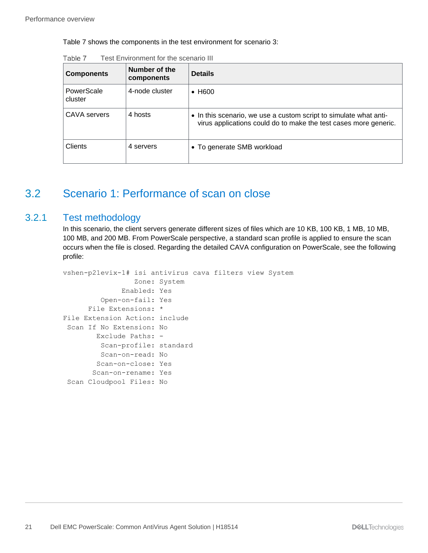[Table 7](#page-20-2) shows the components in the test environment for scenario 3:

| <b>Components</b>     | Number of the<br>components | <b>Details</b>                                                                                                                        |
|-----------------------|-----------------------------|---------------------------------------------------------------------------------------------------------------------------------------|
| PowerScale<br>cluster | 4-node cluster              | $\bullet$ H600                                                                                                                        |
| CAVA servers          | 4 hosts                     | • In this scenario, we use a custom script to simulate what anti-<br>virus applications could do to make the test cases more generic. |
| <b>Clients</b>        | 4 servers                   | • To generate SMB workload                                                                                                            |

<span id="page-20-2"></span>Table 7 Test Environment for the scenario III

# <span id="page-20-0"></span>3.2 Scenario 1: Performance of scan on close

#### <span id="page-20-1"></span>3.2.1 Test methodology

In this scenario, the client servers generate different sizes of files which are 10 KB, 100 KB, 1 MB, 10 MB, 100 MB, and 200 MB. From PowerScale perspective, a standard scan profile is applied to ensure the scan occurs when the file is closed. Regarding the detailed CAVA configuration on PowerScale, see the following profile:

```
vshen-p21evix-1# isi antivirus cava filters view System
                 Zone: System
               Enabled: Yes
          Open-on-fail: Yes
       File Extensions: *
File Extension Action: include
 Scan If No Extension: No
        Exclude Paths: -
          Scan-profile: standard
          Scan-on-read: No
        Scan-on-close: Yes
        Scan-on-rename: Yes
Scan Cloudpool Files: No
```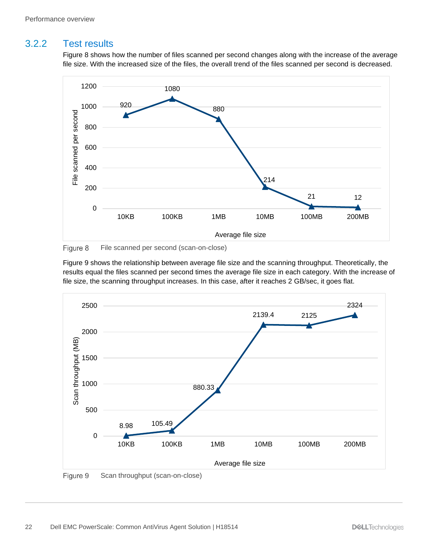#### <span id="page-21-0"></span>3.2.2 Test results

[Figure 8](#page-21-1) shows how the number of files scanned per second changes along with the increase of the average file size. With the increased size of the files, the overall trend of the files scanned per second is decreased.



<span id="page-21-1"></span>Figure 8 File scanned per second (scan-on-close)

[Figure 9](#page-21-2) shows the relationship between average file size and the scanning throughput. Theoretically, the results equal the files scanned per second times the average file size in each category. With the increase of file size, the scanning throughput increases. In this case, after it reaches 2 GB/sec, it goes flat.



<span id="page-21-2"></span>Figure 9 Scan throughput (scan-on-close)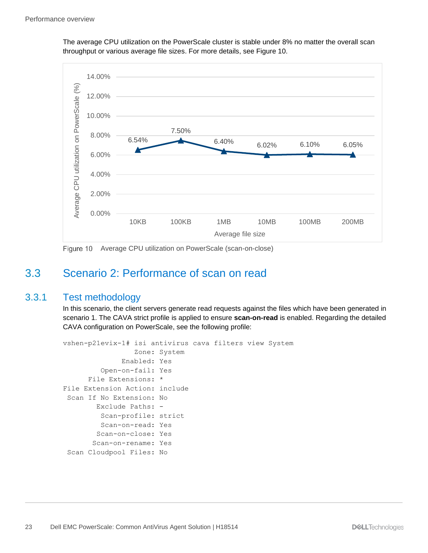The average CPU utilization on the PowerScale cluster is stable under 8% no matter the overall scan throughput or various average file sizes. For more details, see [Figure 10.](#page-22-2)



Figure 10 Average CPU utilization on PowerScale (scan-on-close)

### <span id="page-22-2"></span><span id="page-22-0"></span>3.3 Scenario 2: Performance of scan on read

#### <span id="page-22-1"></span>3.3.1 Test methodology

In this scenario, the client servers generate read requests against the files which have been generated in scenario 1. The CAVA strict profile is applied to ensure **scan-on-read** is enabled. Regarding the detailed CAVA configuration on PowerScale, see the following profile:

```
vshen-p21evix-1# isi antivirus cava filters view System
                  Zone: System
               Enabled: Yes
          Open-on-fail: Yes
       File Extensions: *
File Extension Action: include
 Scan If No Extension: No
         Exclude Paths: -
          Scan-profile: strict
          Scan-on-read: Yes
         Scan-on-close: Yes
        Scan-on-rename: Yes
 Scan Cloudpool Files: No
```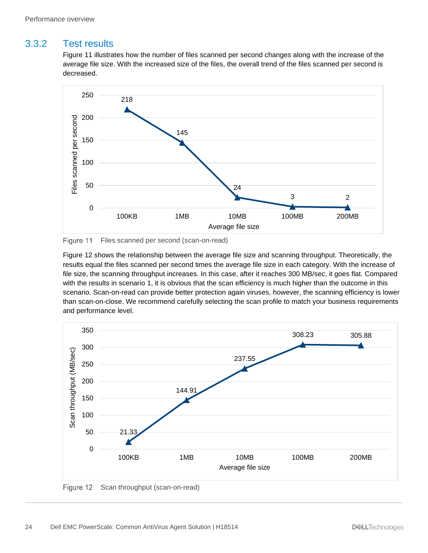#### <span id="page-23-0"></span>3.3.2 Test results

[Figure 11](#page-23-1) illustrates how the number of files scanned per second changes along with the increase of the average file size. With the increased size of the files, the overall trend of the files scanned per second is decreased.



<span id="page-23-1"></span>Figure 11 Files scanned per second (scan-on-read)

[Figure 12](#page-23-2) shows the relationship between the average file size and scanning throughput. Theoretically, the results equal the files scanned per second times the average file size in each category. With the increase of file size, the scanning throughput increases. In this case, after it reaches 300 MB/sec, it goes flat. Compared with the results in scenario 1, it is obvious that the scan efficiency is much higher than the outcome in this scenario. Scan-on-read can provide better protection again viruses, however, the scanning efficiency is lower than scan-on-close. We recommend carefully selecting the scan profile to match your business requirements and performance level.



<span id="page-23-2"></span>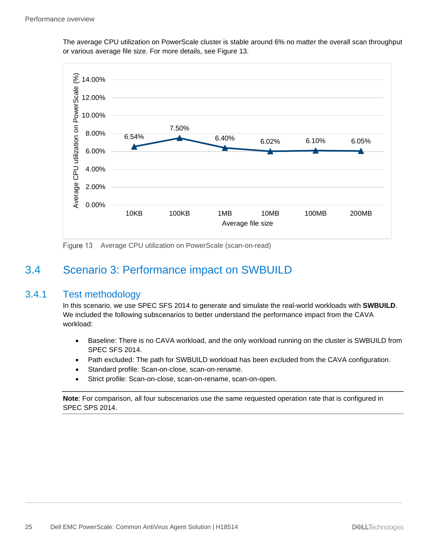The average CPU utilization on PowerScale cluster is stable around 6% no matter the overall scan throughput or various average file size. For more details, see [Figure 13.](#page-24-2)



Figure 13 Average CPU utilization on PowerScale (scan-on-read)

### <span id="page-24-2"></span><span id="page-24-0"></span>3.4 Scenario 3: Performance impact on SWBUILD

#### <span id="page-24-1"></span>3.4.1 Test methodology

In this scenario, we use SPEC SFS 2014 to generate and simulate the real-world workloads with **SWBUILD**. We included the following subscenarios to better understand the performance impact from the CAVA workload:

- Baseline: There is no CAVA workload, and the only workload running on the cluster is SWBUILD from SPEC SFS 2014.
- Path excluded: The path for SWBUILD workload has been excluded from the CAVA configuration.
- Standard profile: Scan-on-close, scan-on-rename.
- Strict profile: Scan-on-close, scan-on-rename, scan-on-open.

**Note**: For comparison, all four subscenarios use the same requested operation rate that is configured in SPEC SPS 2014.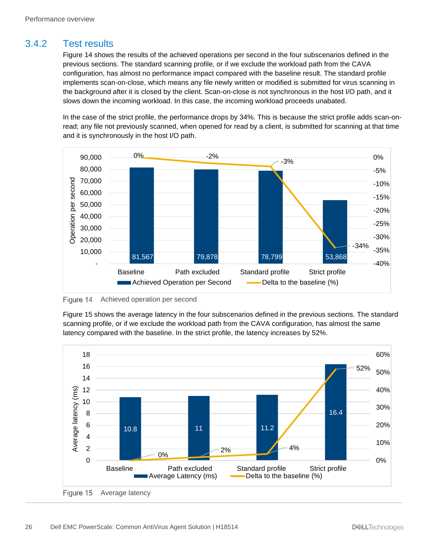#### <span id="page-25-0"></span>3.4.2 Test results

[Figure 14](#page-25-1) shows the results of the achieved operations per second in the four subscenarios defined in the previous sections. The standard scanning profile, or if we exclude the workload path from the CAVA configuration, has almost no performance impact compared with the baseline result. The standard profile implements scan-on-close, which means any file newly written or modified is submitted for virus scanning in the background after it is closed by the client. Scan-on-close is not synchronous in the host I/O path, and it slows down the incoming workload. In this case, the incoming workload proceeds unabated.

In the case of the strict profile, the performance drops by 34%. This is because the strict profile adds scan-onread; any file not previously scanned, when opened for read by a client, is submitted for scanning at that time and it is synchronously in the host I/O path.



<span id="page-25-1"></span>Figure 14 Achieved operation per second

[Figure 15](#page-25-2) shows the average latency in the four subscenarios defined in the previous sections. The standard scanning profile, or if we exclude the workload path from the CAVA configuration, has almost the same latency compared with the baseline. In the strict profile, the latency increases by 52%.

<span id="page-25-2"></span>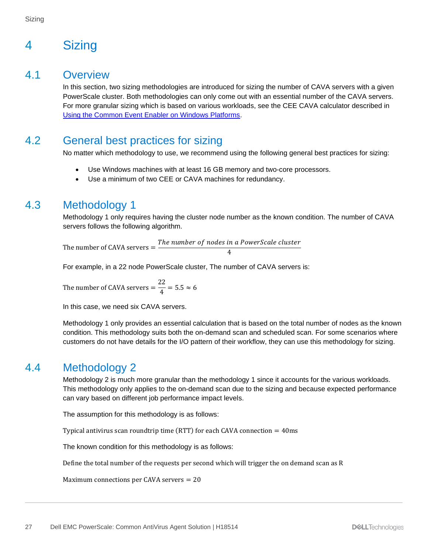# <span id="page-26-0"></span>4 Sizing

#### <span id="page-26-1"></span>4.1 Overview

In this section, two sizing methodologies are introduced for sizing the number of CAVA servers with a given PowerScale cluster. Both methodologies can only come out with an essential number of the CAVA servers. For more granular sizing which is based on various workloads, see the CEE CAVA calculator described in [Using the Common Event Enabler on Windows Platforms.](https://dl.dell.com/content/docu48055_Using_the_Common_Event_Enabler_on_Windows_Platforms.pdf?language=en_US&source=Coveo)

### <span id="page-26-2"></span>4.2 General best practices for sizing

No matter which methodology to use, we recommend using the following general best practices for sizing:

- Use Windows machines with at least 16 GB memory and two-core processors.
- Use a minimum of two CEE or CAVA machines for redundancy.

# <span id="page-26-3"></span>4.3 Methodology 1

Methodology 1 only requires having the cluster node number as the known condition. The number of CAVA servers follows the following algorithm.

The number of CAVA servers  $=\frac{The\ number\ of\ nodes\ in\ a\ PowerScale\ cluster}$ 4

For example, in a 22 node PowerScale cluster, The number of CAVA servers is:

The number of CAVA servers  $=\frac{22}{4}$  $\frac{1}{4}$  = 5.5  $\approx$  6

In this case, we need six CAVA servers.

Methodology 1 only provides an essential calculation that is based on the total number of nodes as the known condition. This methodology suits both the on-demand scan and scheduled scan. For some scenarios where customers do not have details for the I/O pattern of their workflow, they can use this methodology for sizing.

#### <span id="page-26-4"></span>4.4 Methodology 2

Methodology 2 is much more granular than the methodology 1 since it accounts for the various workloads. This methodology only applies to the on-demand scan due to the sizing and because expected performance can vary based on different job performance impact levels.

The assumption for this methodology is as follows:

Typical antivirus scan roundtrip time (RTT) for each CAVA connection  $= 40$ ms

The known condition for this methodology is as follows:

Define the total number of the requests per second which will trigger the on demand scan as R

Maximum connections per CAVA servers  $= 20$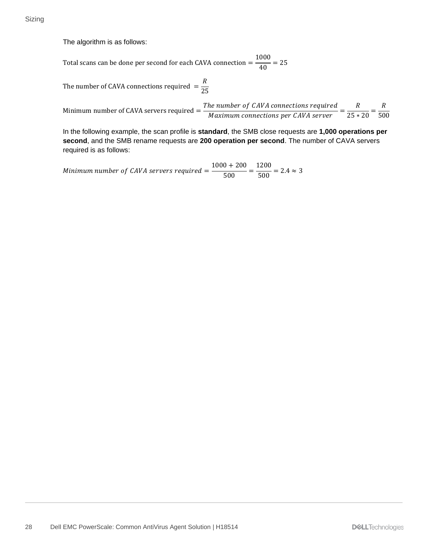The algorithm is as follows:

Total scans can be done per second for each CAVA connection  $=$   $\frac{1000}{40}$  = 25

The number of CAVA connections required  $=\frac{R}{2R}$ 25

Minimum number of CAVA servers required  $=$   $\frac{The \ number \ of \ CAVA \ connections \ required}{M}$ he number of CAVA connections required  $= \frac{R}{25 * 20} = \frac{R}{50}$ 500

In the following example, the scan profile is **standard**, the SMB close requests are **1,000 operations per second**, and the SMB rename requests are **200 operation per second**. The number of CAVA servers required is as follows:

Minimum number of CAVA servers required  $=$   $\frac{1000 + 200}{500} = \frac{1200}{500} = 2.4 \approx 3$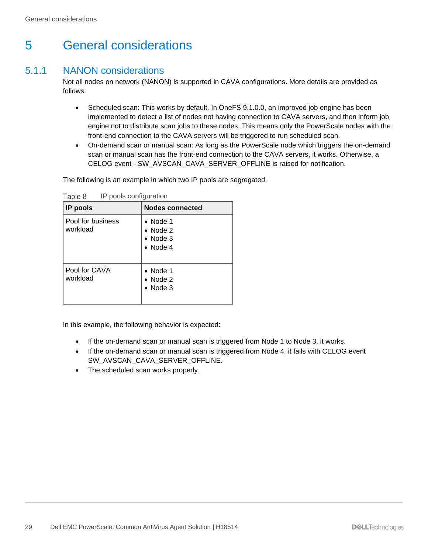# <span id="page-28-0"></span>5 General considerations

#### <span id="page-28-1"></span>5.1.1 NANON considerations

Not all nodes on network (NANON) is supported in CAVA configurations. More details are provided as follows:

- Scheduled scan: This works by default. In OneFS 9.1.0.0, an improved job engine has been implemented to detect a list of nodes not having connection to CAVA servers, and then inform job engine not to distribute scan jobs to these nodes. This means only the PowerScale nodes with the front-end connection to the CAVA servers will be triggered to run scheduled scan.
- On-demand scan or manual scan: As long as the PowerScale node which triggers the on-demand scan or manual scan has the front-end connection to the CAVA servers, it works. Otherwise, a CELOG event - SW\_AVSCAN\_CAVA\_SERVER\_OFFLINE is raised for notification.

The following is an example in which two IP pools are segregated.

| IP pools                      | <b>Nodes connected</b>                                                       |
|-------------------------------|------------------------------------------------------------------------------|
| Pool for business<br>workload | $\bullet$ Node 1<br>$\bullet$ Node 2<br>$\bullet$ Node 3<br>$\bullet$ Node 4 |
| Pool for CAVA<br>workload     | $\bullet$ Node 1<br>$\bullet$ Node 2<br>$\bullet$ Node 3                     |

Table 8 IP pools configuration

In this example, the following behavior is expected:

- If the on-demand scan or manual scan is triggered from Node 1 to Node 3, it works.
- If the on-demand scan or manual scan is triggered from Node 4, it fails with CELOG event SW\_AVSCAN\_CAVA\_SERVER\_OFFLINE.
- The scheduled scan works properly.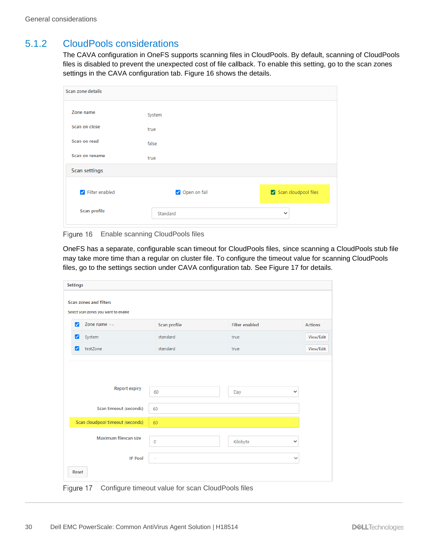#### <span id="page-29-0"></span>5.1.2 CloudPools considerations

The CAVA configuration in OneFS supports scanning files in CloudPools. By default, scanning of CloudPools files is disabled to prevent the unexpected cost of file callback. To enable this setting, go to the scan zones settings in the CAVA configuration tab. [Figure 16](#page-29-1) shows the details.

| System<br>true<br>false<br>true<br>Filter enabled<br>Open on fail<br>Scan profile<br>Standard<br>$\checkmark$ |                   |                      |
|---------------------------------------------------------------------------------------------------------------|-------------------|----------------------|
| Zone name<br>Scan on close<br>Scan on read<br>Scan on rename<br><b>Scan settings</b>                          | Scan zone details |                      |
|                                                                                                               |                   |                      |
|                                                                                                               |                   |                      |
|                                                                                                               |                   |                      |
|                                                                                                               |                   |                      |
|                                                                                                               |                   |                      |
|                                                                                                               |                   |                      |
|                                                                                                               |                   |                      |
|                                                                                                               |                   | Scan cloudpool files |
|                                                                                                               |                   |                      |
|                                                                                                               |                   |                      |

<span id="page-29-1"></span>Figure 16 Enable scanning CloudPools files

OneFS has a separate, configurable scan timeout for CloudPools files, since scanning a CloudPools stub file may take more time than a regular on cluster file. To configure the timeout value for scanning CloudPools files, go to the settings section under CAVA configuration tab. See [Figure 17](#page-29-2) for details.

|       | <b>Settings</b>                                                |              |                       |                |  |
|-------|----------------------------------------------------------------|--------------|-----------------------|----------------|--|
|       | Scan zones and filters<br>Select scan zones you want to enable |              |                       |                |  |
| ☑     | Zone name $-x$                                                 | Scan profile | <b>Filter enabled</b> | <b>Actions</b> |  |
| ☑     | System                                                         | standard     | true                  | View/Edit      |  |
| ☑     | testZone                                                       | standard     | true                  | View/Edit      |  |
|       | <b>Report expiry</b><br>Scan timeout (seconds)                 | 60<br>60     | Day                   | $\checkmark$   |  |
|       | Scan cloudpool timeout (seconds)                               | 60           |                       |                |  |
|       | Maximum filescan size                                          | $\mathbf 0$  | Kilobyte              | $\checkmark$   |  |
|       | <b>IP Pool</b>                                                 | ٠            |                       | v              |  |
| Reset |                                                                |              |                       |                |  |

<span id="page-29-2"></span>Figure 17 Configure timeout value for scan CloudPools files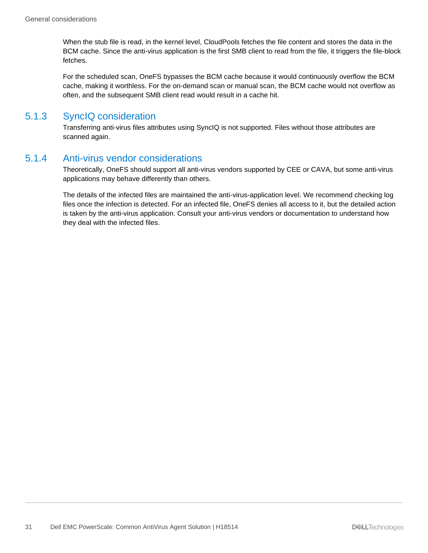When the stub file is read, in the kernel level, CloudPools fetches the file content and stores the data in the BCM cache. Since the anti-virus application is the first SMB client to read from the file, it triggers the file-block fetches.

For the scheduled scan, OneFS bypasses the BCM cache because it would continuously overflow the BCM cache, making it worthless. For the on-demand scan or manual scan, the BCM cache would not overflow as often, and the subsequent SMB client read would result in a cache hit.

#### <span id="page-30-0"></span>5.1.3 SyncIQ consideration

Transferring anti-virus files attributes using SyncIQ is not supported. Files without those attributes are scanned again.

#### <span id="page-30-1"></span>5.1.4 Anti-virus vendor considerations

Theoretically, OneFS should support all anti-virus vendors supported by CEE or CAVA, but some anti-virus applications may behave differently than others.

The details of the infected files are maintained the anti-virus-application level. We recommend checking log files once the infection is detected. For an infected file, OneFS denies all access to it, but the detailed action is taken by the anti-virus application. Consult your anti-virus vendors or documentation to understand how they deal with the infected files.